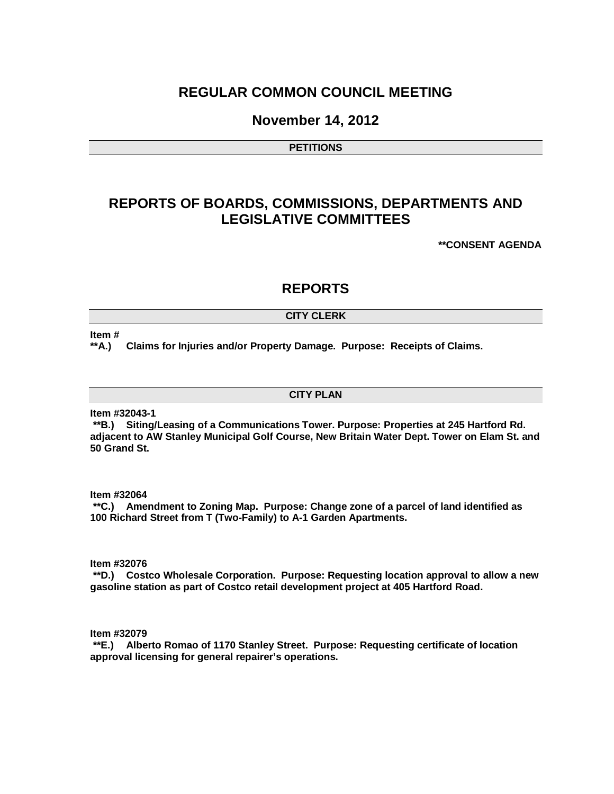# **REGULAR COMMON COUNCIL MEETING**

## **November 14, 2012**

**PETITIONS**

# **REPORTS OF BOARDS, COMMISSIONS, DEPARTMENTS AND LEGISLATIVE COMMITTEES**

**\*\*CONSENT AGENDA**

## **REPORTS**

### **CITY CLERK**

### **Item #**

**\*\*A.) Claims for Injuries and/or Property Damage. Purpose: Receipts of Claims.** 

### **CITY PLAN**

**Item #32043-1**

**\*\*B.) Siting/Leasing of a Communications Tower. Purpose: Properties at 245 Hartford Rd. adjacent to AW Stanley Municipal Golf Course, New Britain Water Dept. Tower on Elam St. and 50 Grand St.** 

**Item #32064**

**\*\*C.) Amendment to Zoning Map. Purpose: Change zone of a parcel of land identified as 100 Richard Street from T (Two-Family) to A-1 Garden Apartments.** 

**Item #32076**

**\*\*D.) Costco Wholesale Corporation. Purpose: Requesting location approval to allow a new gasoline station as part of Costco retail development project at 405 Hartford Road.**

**Item #32079**

**\*\*E.) Alberto Romao of 1170 Stanley Street. Purpose: Requesting certificate of location approval licensing for general repairer's operations.**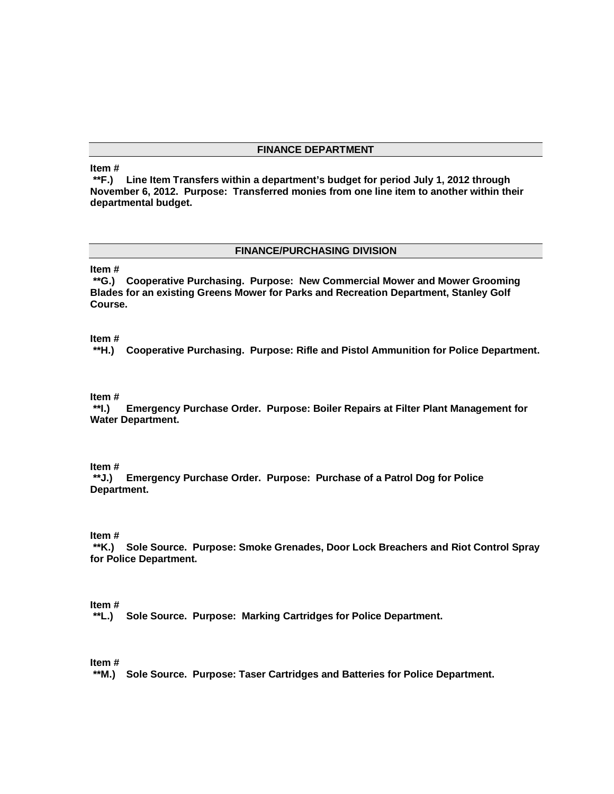### **FINANCE DEPARTMENT**

### **Item #**

**\*\*F.) Line Item Transfers within a department's budget for period July 1, 2012 through November 6, 2012. Purpose: Transferred monies from one line item to another within their departmental budget.**

### **FINANCE/PURCHASING DIVISION**

### **Item #**

**\*\*G.) Cooperative Purchasing. Purpose: New Commercial Mower and Mower Grooming Blades for an existing Greens Mower for Parks and Recreation Department, Stanley Golf Course.**

### **Item #**

**\*\*H.) Cooperative Purchasing. Purpose: Rifle and Pistol Ammunition for Police Department.**

**Item # \*\*I.) Emergency Purchase Order. Purpose: Boiler Repairs at Filter Plant Management for Water Department.**

### **Item #**

**\*\*J.) Emergency Purchase Order. Purpose: Purchase of a Patrol Dog for Police Department.**

### **Item #**

**\*\*K.) Sole Source. Purpose: Smoke Grenades, Door Lock Breachers and Riot Control Spray for Police Department.**

### **Item #**

**\*\*L.) Sole Source. Purpose: Marking Cartridges for Police Department.**

### **Item #**

**\*\*M.) Sole Source. Purpose: Taser Cartridges and Batteries for Police Department.**